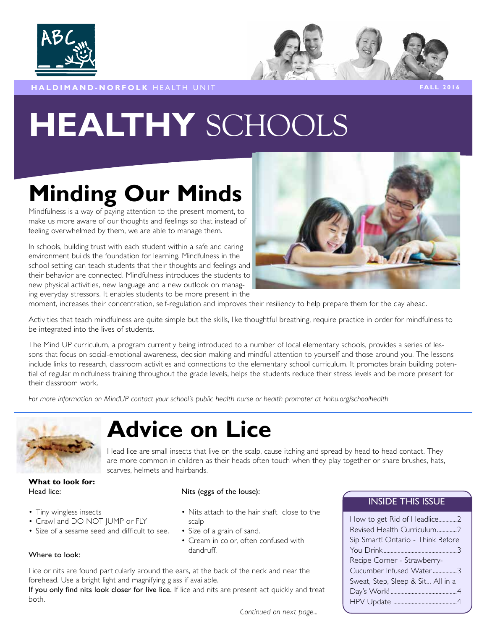



**HALDIMAND-NORFOLK** HEALTH UNIT **FALL 2016** 

# **HEALTHY** SCHOOLS

# **Minding Our Minds**

Mindfulness is a way of paying attention to the present moment, to make us more aware of our thoughts and feelings so that instead of feeling overwhelmed by them, we are able to manage them.

In schools, building trust with each student within a safe and caring environment builds the foundation for learning. Mindfulness in the school setting can teach students that their thoughts and feelings and their behavior are connected. Mindfulness introduces the students to new physical activities, new language and a new outlook on managing everyday stressors. It enables students to be more present in the



moment, increases their concentration, self-regulation and improves their resiliency to help prepare them for the day ahead.

Activities that teach mindfulness are quite simple but the skills, like thoughtful breathing, require practice in order for mindfulness to be integrated into the lives of students.

The Mind UP curriculum, a program currently being introduced to a number of local elementary schools, provides a series of lessons that focus on social-emotional awareness, decision making and mindful attention to yourself and those around you. The lessons include links to research, classroom activities and connections to the elementary school curriculum. It promotes brain building potential of regular mindfulness training throughout the grade levels, helps the students reduce their stress levels and be more present for their classroom work.

*For more information on MindUP contact your school's public health nurse or health promoter at hnhu.org/schoolhealth* 



# **Advice on Lice**

Head lice are small insects that live on the scalp, cause itching and spread by head to head contact. They are more common in children as their heads often touch when they play together or share brushes, hats, scarves, helmets and hairbands.

#### **What to look for:**  Head lice: Nits (eggs of the louse):

- Tiny wingless insects Nits attach to the hair shaft close to the
- Crawl and DO NOT JUMP or FLY scalp
- Size of a sesame seed and difficult to see. Size of a grain of sand.
	- Cream in color, often confused with

## Where to look: dandruff.

Lice or nits are found particularly around the ears, at the back of the neck and near the forehead. Use a bright light and magnifying glass if available.

If you only find nits look closer for live lice. If lice and nits are present act quickly and treat both.

### INSIDE THIS ISSUE

| Revised Health Curriculum2        |
|-----------------------------------|
|                                   |
| Sip Smart! Ontario - Think Before |
|                                   |
| Recipe Corner - Strawberry-       |
| Cucumber Infused Water3           |
| Sweat, Step, Sleep & Sit All in a |
|                                   |
|                                   |

*Continued on next page...*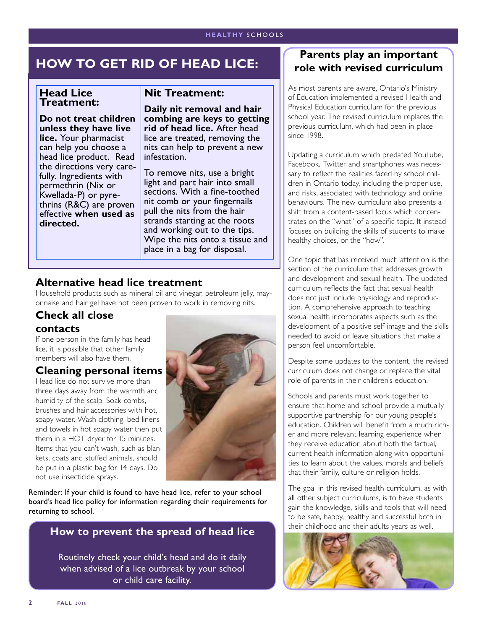## **HOW TO GET RID OF HEAD LICE:**

#### **Head Lice Treatment:**

**Do not treat children unless they have live lice.** Your pharmacist can help you choose a head lice product. Read the directions very carefully. Ingredients with permethrin (Nix or Kwellada-P) or pyrethrins (R&C) are proven effective **when used as directed.** 

## **Nit Treatment:**

**Daily nit removal and hair combing are keys to getting rid of head lice.** After head lice are treated, removing the nits can help to prevent a new infestation.

To remove nits, use a bright light and part hair into small sections. With a fine-toothed nit comb or your fingernails pull the nits from the hair strands starting at the roots and working out to the tips. Wipe the nits onto a tissue and place in a bag for disposal.

## **Alternative head lice treatment**

Household products such as mineral oil and vinegar, petroleum jelly, mayonnaise and hair gel have not been proven to work in removing nits.

## **Check all close**

### **contacts**

If one person in the family has head lice, it is possible that other family members will also have them.

## **Cleaning personal items**

Head lice do not survive more than three days away from the warmth and humidity of the scalp. Soak combs, brushes and hair accessories with hot, soapy water. Wash clothing, bed linens and towels in hot soapy water then put them in a HOT dryer for 15 minutes. Items that you can't wash, such as blankets, coats and stuffed animals, should be put in a plastic bag for 14 days. Do not use insecticide sprays.



Reminder: If your child is found to have head lice, refer to your school board's head lice policy for information regarding their requirements for returning to school.

## **How to prevent the spread of head lice**

Routinely check your child's head and do it daily when advised of a lice outbreak by your school or child care facility.

## **Parents play an important role with revised curriculum**

As most parents are aware, Ontario's Ministry of Education implemented a revised Health and Physical Education curriculum for the previous school year. The revised curriculum replaces the previous curriculum, which had been in place since 1998.

Updating a curriculum which predated YouTube, Facebook, Twitter and smartphones was necessary to reflect the realities faced by school children in Ontario today, including the proper use, and risks, associated with technology and online behaviours. The new curriculum also presents a shift from a content-based focus which concentrates on the "what" of a specific topic. It instead focuses on building the skills of students to make healthy choices, or the "how".

One topic that has received much attention is the section of the curriculum that addresses growth and development and sexual health. The updated curriculum reflects the fact that sexual health does not just include physiology and reproduction. A comprehensive approach to teaching sexual health incorporates aspects such as the development of a positive self-image and the skills needed to avoid or leave situations that make a person feel uncomfortable.

Despite some updates to the content, the revised curriculum does not change or replace the vital role of parents in their children's education.

Schools and parents must work together to ensure that home and school provide a mutually supportive partnership for our young people's education. Children will benefit from a much richer and more relevant learning experience when they receive education about both the factual, current health information along with opportunities to learn about the values, morals and beliefs that their family, culture or religion holds.

The goal in this revised health curriculum, as with all other subject curriculums, is to have students gain the knowledge, skills and tools that will need to be safe, happy, healthy and successful both in their childhood and their adults years as well.

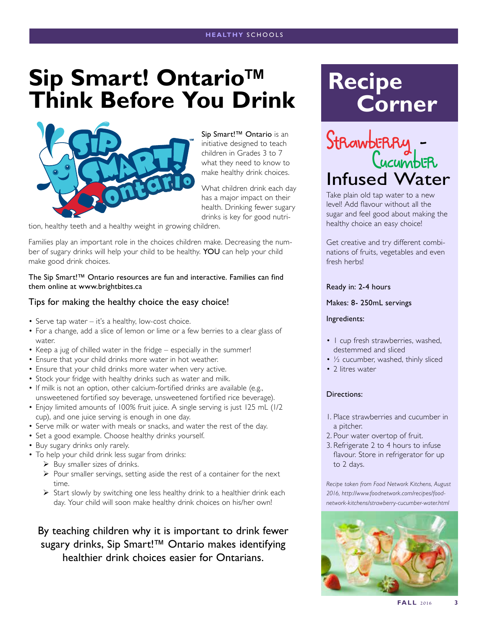# **Sip Smart! Ontario™ Think Before You Drink**



Sip Smart!™ Ontario is an initiative designed to teach children in Grades 3 to 7 what they need to know to make healthy drink choices.

What children drink each day has a major impact on their health. Drinking fewer sugary drinks is key for good nutri-

tion, healthy teeth and a healthy weight in growing children.

Families play an important role in the choices children make. Decreasing the number of sugary drinks will help your child to be healthy. YOU can help your child make good drink choices.

The Sip Smart!™ Ontario resources are fun and interactive. Families can find them online at www.brightbites.ca

#### Tips for making the healthy choice the easy choice!

- Serve tap water it's a healthy, low-cost choice.
- For a change, add a slice of lemon or lime or a few berries to a clear glass of water.
- Keep a jug of chilled water in the fridge especially in the summer!
- Ensure that your child drinks more water in hot weather.
- Ensure that your child drinks more water when very active.
- Stock your fridge with healthy drinks such as water and milk.
- If milk is not an option, other calcium-fortified drinks are available (e.g., unsweetened fortified soy beverage, unsweetened fortified rice beverage).
- Enjoy limited amounts of 100% fruit juice. A single serving is just 125 mL (1/2 cup), and one juice serving is enough in one day.
- Serve milk or water with meals or snacks, and water the rest of the day.
- Set a good example. Choose healthy drinks yourself.
- Buy sugary drinks only rarely.
- To help your child drink less sugar from drinks:
	- $\triangleright$  Buy smaller sizes of drinks.
	- $\triangleright$  Pour smaller servings, setting aside the rest of a container for the next time.
	- ¾ Start slowly by switching one less healthy drink to a healthier drink each day. Your child will soon make healthy drink choices on his/her own!

By teaching children why it is important to drink fewer sugary drinks, Sip Smart!™ Ontario makes identifying healthier drink choices easier for Ontarians.

# **Recipe Corner**



Take plain old tap water to a new level! Add flavour without all the sugar and feel good about making the healthy choice an easy choice!

Get creative and try different combinations of fruits, vegetables and even fresh herbs!

#### Ready in: 2-4 hours

Makes: 8- 250mL servings

#### Ingredients:

- 1 cup fresh strawberries, washed, destemmed and sliced
- ½ cucumber, washed, thinly sliced
- 2 litres water

#### Directions:

- 1. Place strawberries and cucumber in a pitcher.
- 2. Pour water overtop of fruit.
- 3. Refrigerate 2 to 4 hours to infuse flavour. Store in refrigerator for up to 2 days.

*Recipe taken from Food Network Kitchens, August 2016, http://www.foodnetwork.com/recipes/foodnetwork-kitchens/strawberry-cucumber-water.html*